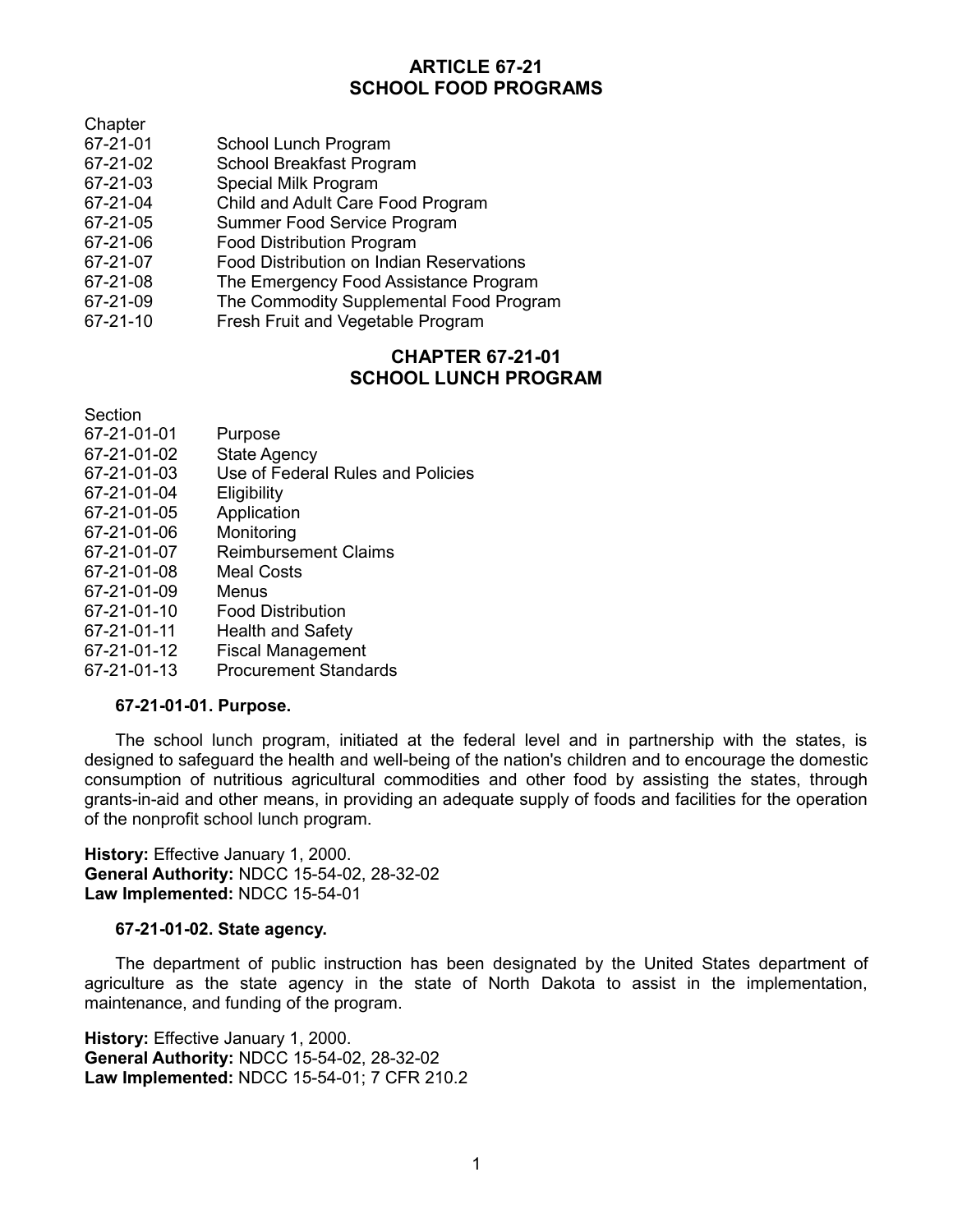# **ARTICLE 67-21 SCHOOL FOOD PROGRAMS**

**Chapter** 

- 67-21-01 School Lunch Program
- 67-21-02 School Breakfast Program<br>67-21-03 Special Milk Program
- Special Milk Program
- 67-21-04 Child and Adult Care Food Program
- 67-21-05 Summer Food Service Program
- 67-21-06 Food Distribution Program
- 67-21-07 Food Distribution on Indian Reservations
- 67-21-08 The Emergency Food Assistance Program
- 67-21-09 The Commodity Supplemental Food Program
- 67-21-10 Fresh Fruit and Vegetable Program

# **CHAPTER 67-21-01 SCHOOL LUNCH PROGRAM**

Section

- 67-21-01-01 Purpose
- 67-21-01-02 State Agency
- 67-21-01-03 Use of Federal Rules and Policies
- 67-21-01-04 Eligibility
- 67-21-01-05 Application
- 67-21-01-06 Monitoring
- 67-21-01-07 Reimbursement Claims
- 67-21-01-08 Meal Costs
- 67-21-01-09 Menus
- 67-21-01-10 Food Distribution
- 67-21-01-11 Health and Safety
- 67-21-01-12 Fiscal Management
- 67-21-01-13 Procurement Standards

# **67-21-01-01. Purpose.**

The school lunch program, initiated at the federal level and in partnership with the states, is designed to safeguard the health and well-being of the nation's children and to encourage the domestic consumption of nutritious agricultural commodities and other food by assisting the states, through grants-in-aid and other means, in providing an adequate supply of foods and facilities for the operation of the nonprofit school lunch program.

**History:** Effective January 1, 2000. **General Authority:** NDCC 15-54-02, 28-32-02 **Law Implemented:** NDCC 15-54-01

#### **67-21-01-02. State agency.**

The department of public instruction has been designated by the United States department of agriculture as the state agency in the state of North Dakota to assist in the implementation, maintenance, and funding of the program.

**History:** Effective January 1, 2000. **General Authority:** NDCC 15-54-02, 28-32-02 **Law Implemented:** NDCC 15-54-01; 7 CFR 210.2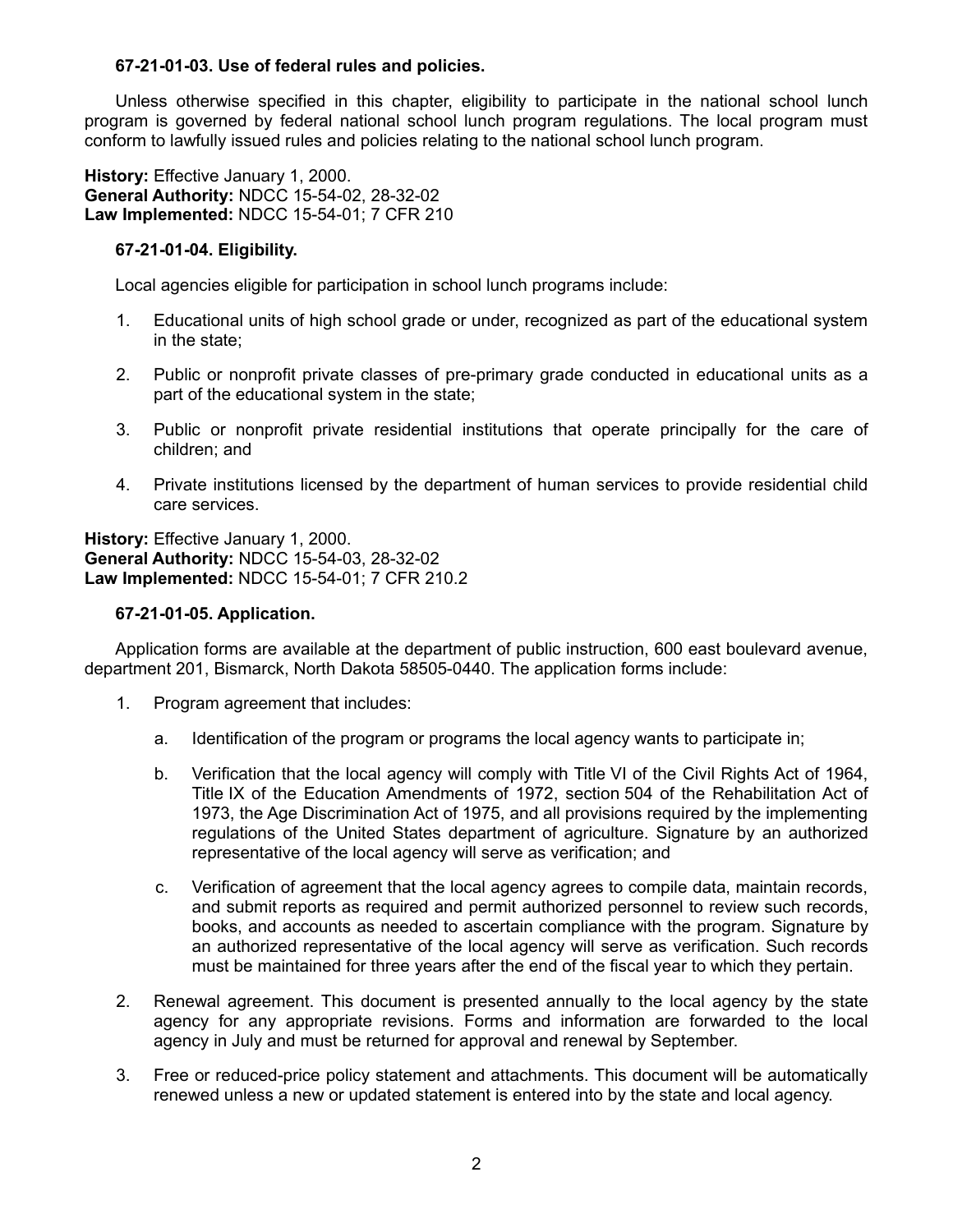### **67-21-01-03. Use of federal rules and policies.**

Unless otherwise specified in this chapter, eligibility to participate in the national school lunch program is governed by federal national school lunch program regulations. The local program must conform to lawfully issued rules and policies relating to the national school lunch program.

**History:** Effective January 1, 2000. **General Authority:** NDCC 15-54-02, 28-32-02 **Law Implemented:** NDCC 15-54-01; 7 CFR 210

### **67-21-01-04. Eligibility.**

Local agencies eligible for participation in school lunch programs include:

- 1. Educational units of high school grade or under, recognized as part of the educational system in the state;
- 2. Public or nonprofit private classes of pre-primary grade conducted in educational units as a part of the educational system in the state;
- 3. Public or nonprofit private residential institutions that operate principally for the care of children; and
- 4. Private institutions licensed by the department of human services to provide residential child care services.

**History:** Effective January 1, 2000. **General Authority:** NDCC 15-54-03, 28-32-02 **Law Implemented:** NDCC 15-54-01; 7 CFR 210.2

### **67-21-01-05. Application.**

Application forms are available at the department of public instruction, 600 east boulevard avenue, department 201, Bismarck, North Dakota 58505-0440. The application forms include:

- 1. Program agreement that includes:
	- a. Identification of the program or programs the local agency wants to participate in;
	- b. Verification that the local agency will comply with Title VI of the Civil Rights Act of 1964, Title IX of the Education Amendments of 1972, section 504 of the Rehabilitation Act of 1973, the Age Discrimination Act of 1975, and all provisions required by the implementing regulations of the United States department of agriculture. Signature by an authorized representative of the local agency will serve as verification; and
	- c. Verification of agreement that the local agency agrees to compile data, maintain records, and submit reports as required and permit authorized personnel to review such records, books, and accounts as needed to ascertain compliance with the program. Signature by an authorized representative of the local agency will serve as verification. Such records must be maintained for three years after the end of the fiscal year to which they pertain.
- 2. Renewal agreement. This document is presented annually to the local agency by the state agency for any appropriate revisions. Forms and information are forwarded to the local agency in July and must be returned for approval and renewal by September.
- 3. Free or reduced-price policy statement and attachments. This document will be automatically renewed unless a new or updated statement is entered into by the state and local agency.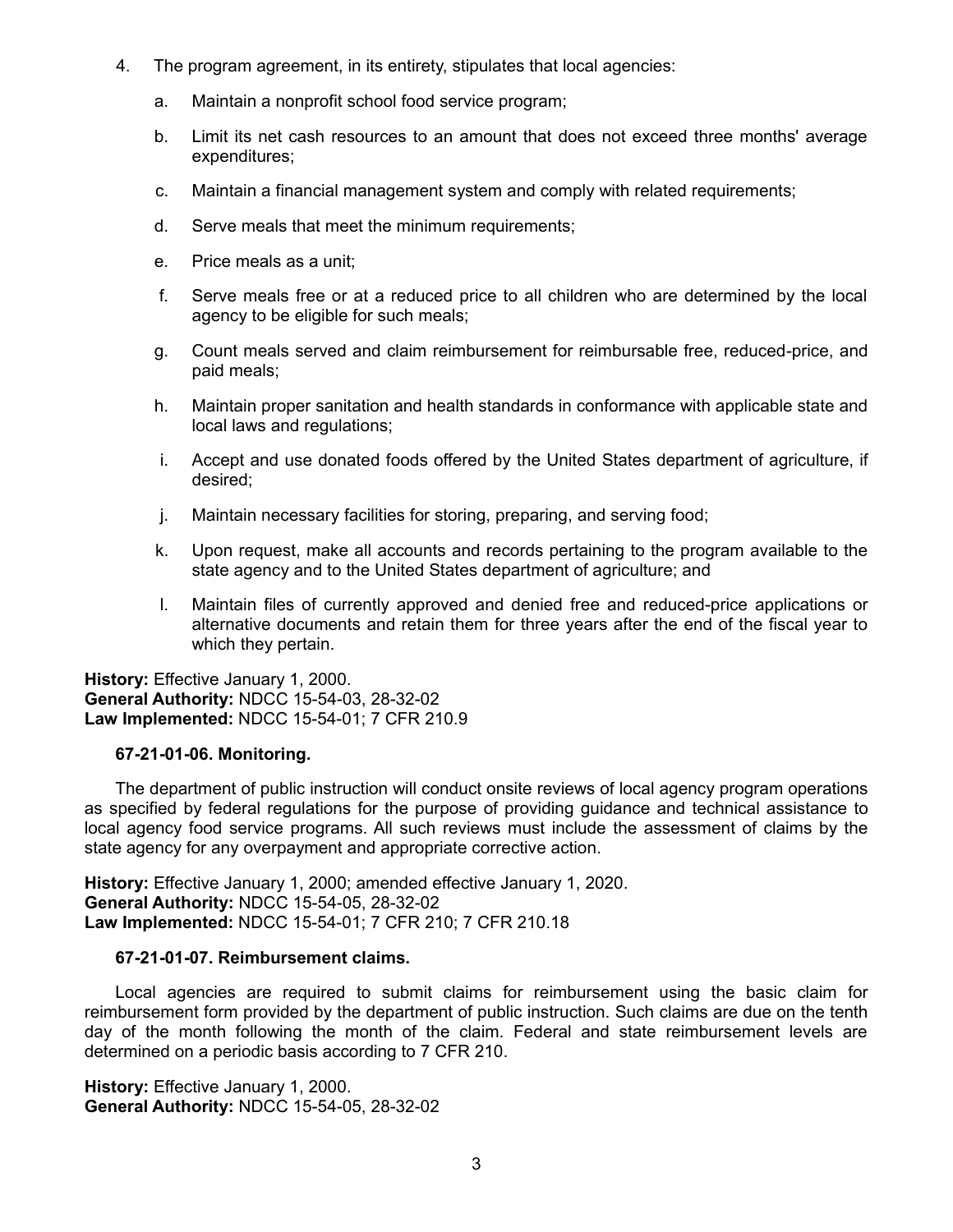- 4. The program agreement, in its entirety, stipulates that local agencies:
	- a. Maintain a nonprofit school food service program;
	- b. Limit its net cash resources to an amount that does not exceed three months' average expenditures;
	- c. Maintain a financial management system and comply with related requirements;
	- d. Serve meals that meet the minimum requirements;
	- e. Price meals as a unit;
	- f. Serve meals free or at a reduced price to all children who are determined by the local agency to be eligible for such meals;
	- g. Count meals served and claim reimbursement for reimbursable free, reduced-price, and paid meals;
	- h. Maintain proper sanitation and health standards in conformance with applicable state and local laws and regulations;
	- i. Accept and use donated foods offered by the United States department of agriculture, if desired;
	- j. Maintain necessary facilities for storing, preparing, and serving food;
	- k. Upon request, make all accounts and records pertaining to the program available to the state agency and to the United States department of agriculture; and
	- l. Maintain files of currently approved and denied free and reduced-price applications or alternative documents and retain them for three years after the end of the fiscal year to which they pertain.

**History:** Effective January 1, 2000. **General Authority:** NDCC 15-54-03, 28-32-02 **Law Implemented:** NDCC 15-54-01; 7 CFR 210.9

# **67-21-01-06. Monitoring.**

The department of public instruction will conduct onsite reviews of local agency program operations as specified by federal regulations for the purpose of providing guidance and technical assistance to local agency food service programs. All such reviews must include the assessment of claims by the state agency for any overpayment and appropriate corrective action.

**History:** Effective January 1, 2000; amended effective January 1, 2020. **General Authority:** NDCC 15-54-05, 28-32-02 **Law Implemented:** NDCC 15-54-01; 7 CFR 210; 7 CFR 210.18

# **67-21-01-07. Reimbursement claims.**

Local agencies are required to submit claims for reimbursement using the basic claim for reimbursement form provided by the department of public instruction. Such claims are due on the tenth day of the month following the month of the claim. Federal and state reimbursement levels are determined on a periodic basis according to 7 CFR 210.

**History:** Effective January 1, 2000. **General Authority:** NDCC 15-54-05, 28-32-02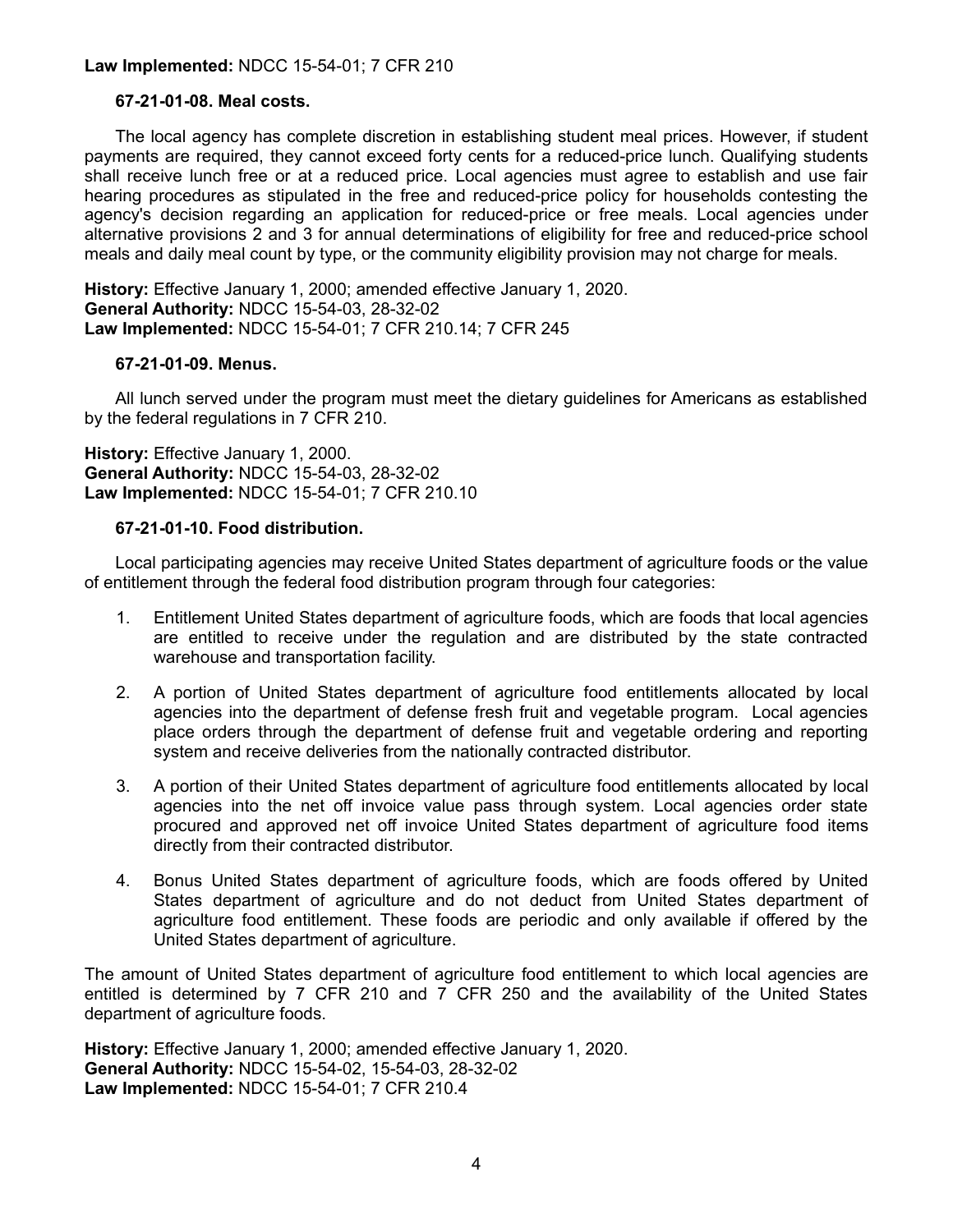# **Law Implemented:** NDCC 15-54-01; 7 CFR 210

# **67-21-01-08. Meal costs.**

The local agency has complete discretion in establishing student meal prices. However, if student payments are required, they cannot exceed forty cents for a reduced-price lunch. Qualifying students shall receive lunch free or at a reduced price. Local agencies must agree to establish and use fair hearing procedures as stipulated in the free and reduced-price policy for households contesting the agency's decision regarding an application for reduced-price or free meals. Local agencies under alternative provisions 2 and 3 for annual determinations of eligibility for free and reduced-price school meals and daily meal count by type, or the community eligibility provision may not charge for meals.

**History:** Effective January 1, 2000; amended effective January 1, 2020. **General Authority:** NDCC 15-54-03, 28-32-02 **Law Implemented:** NDCC 15-54-01; 7 CFR 210.14; 7 CFR 245

#### **67-21-01-09. Menus.**

All lunch served under the program must meet the dietary guidelines for Americans as established by the federal regulations in 7 CFR 210.

**History:** Effective January 1, 2000. **General Authority:** NDCC 15-54-03, 28-32-02 **Law Implemented:** NDCC 15-54-01; 7 CFR 210.10

#### **67-21-01-10. Food distribution.**

Local participating agencies may receive United States department of agriculture foods or the value of entitlement through the federal food distribution program through four categories:

- 1. Entitlement United States department of agriculture foods, which are foods that local agencies are entitled to receive under the regulation and are distributed by the state contracted warehouse and transportation facility.
- 2. A portion of United States department of agriculture food entitlements allocated by local agencies into the department of defense fresh fruit and vegetable program. Local agencies place orders through the department of defense fruit and vegetable ordering and reporting system and receive deliveries from the nationally contracted distributor.
- 3. A portion of their United States department of agriculture food entitlements allocated by local agencies into the net off invoice value pass through system. Local agencies order state procured and approved net off invoice United States department of agriculture food items directly from their contracted distributor.
- 4. Bonus United States department of agriculture foods, which are foods offered by United States department of agriculture and do not deduct from United States department of agriculture food entitlement. These foods are periodic and only available if offered by the United States department of agriculture.

The amount of United States department of agriculture food entitlement to which local agencies are entitled is determined by 7 CFR 210 and 7 CFR 250 and the availability of the United States department of agriculture foods.

**History:** Effective January 1, 2000; amended effective January 1, 2020. **General Authority:** NDCC 15-54-02, 15-54-03, 28-32-02 **Law Implemented:** NDCC 15-54-01; 7 CFR 210.4